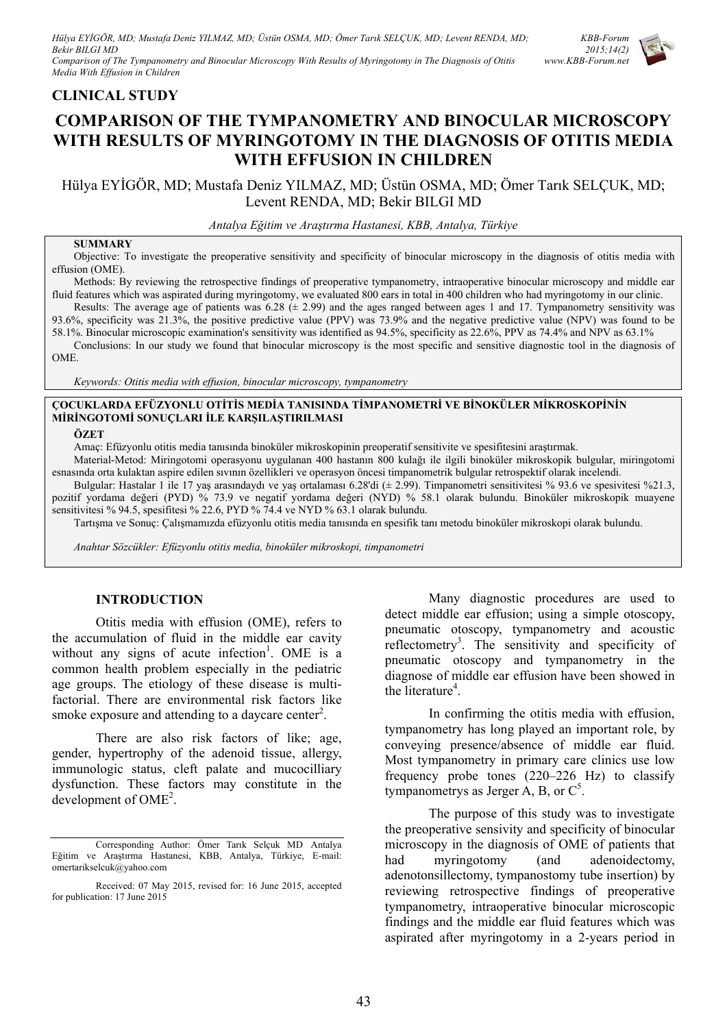### **CLINICAL STUDY**

# **COMPARISON OF THE TYMPANOMETRY AND BINOCULAR MICROSCOPY WITH RESULTS OF MYRINGOTOMY IN THE DIAGNOSIS OF OTITIS MEDIA WITH EFFUSION IN CHILDREN**

Hülya EYİGÖR, MD; Mustafa Deniz YILMAZ, MD; Üstün OSMA, MD; Ömer Tarık SELÇUK, MD; Levent RENDA, MD; Bekir BILGI MD

*Antalya Eğitim ve Araştırma Hastanesi, KBB, Antalya, Türkiye* 

#### **SUMMARY**

Objective: To investigate the preoperative sensitivity and specificity of binocular microscopy in the diagnosis of otitis media with effusion (OME).

Methods: By reviewing the retrospective findings of preoperative tympanometry, intraoperative binocular microscopy and middle ear fluid features which was aspirated during myringotomy, we evaluated 800 ears in total in 400 children who had myringotomy in our clinic. Results: The average age of patients was  $6.28 \ (\pm 2.99)$  and the ages ranged between ages 1 and 17. Tympanometry sensitivity was

93.6%, specificity was 21.3%, the positive predictive value (PPV) was 73.9% and the negative predictive value (NPV) was found to be 58.1%. Binocular microscopic examination's sensitivity was identified as 94.5%, specificity as 22.6%, PPV as 74.4% and NPV as 63.1% Conclusions: In our study we found that binocular microscopy is the most specific and sensitive diagnostic tool in the diagnosis of

OME.

*Keywords: Otitis media with effusion, binocular microscopy, tympanometry* 

#### **ÇOCUKLARDA EFÜZYONLU OTİTİS MEDİA TANISINDA TİMPANOMETRİ VE BİNOKÜLER MİKROSKOPİNİN MİRİNGOTOMİ SONUÇLARI İLE KARŞILAŞTIRILMASI**

#### **ÖZET**

Amaç: Efüzyonlu otitis media tanısında binoküler mikroskopinin preoperatif sensitivite ve spesifitesini araştırmak.

Material-Metod: Miringotomi operasyonu uygulanan 400 hastanın 800 kulağı ile ilgili binoküler mikroskopik bulgular, miringotomi esnasında orta kulaktan aspire edilen sıvının özellikleri ve operasyon öncesi timpanometrik bulgular retrospektif olarak incelendi.

Bulgular: Hastalar 1 ile 17 yaş arasındaydı ve yaş ortalaması 6.28'di (± 2.99). Timpanometri sensitivitesi % 93.6 ve spesivitesi %21.3, pozitif yordama değeri (PYD) % 73.9 ve negatif yordama değeri (NYD) % 58.1 olarak bulundu. Binoküler mikroskopik muayene sensitivitesi % 94.5, spesifitesi % 22.6, PYD % 74.4 ve NYD % 63.1 olarak bulundu.

Tartışma ve Sonuç: Çalışmamızda efüzyonlu otitis media tanısında en spesifik tanı metodu binoküler mikroskopi olarak bulundu.

*Anahtar Sözcükler: Efüzyonlu otitis media, binoküler mikroskopi, timpanometri* 

#### **INTRODUCTION**

Otitis media with effusion (OME), refers to the accumulation of fluid in the middle ear cavity without any signs of acute infection<sup>1</sup>. OME is a common health problem especially in the pediatric age groups. The etiology of these disease is multifactorial. There are environmental risk factors like smoke exposure and attending to a daycare center<sup>2</sup>.

There are also risk factors of like; age, gender, hypertrophy of the adenoid tissue, allergy, immunologic status, cleft palate and mucocilliary dysfunction. These factors may constitute in the development of OME<sup>2</sup>.

Many diagnostic procedures are used to detect middle ear effusion; using a simple otoscopy, pneumatic otoscopy, tympanometry and acoustic reflectometry<sup>3</sup>. The sensitivity and specificity of pneumatic otoscopy and tympanometry in the diagnose of middle ear effusion have been showed in the literature<sup>4</sup>.

In confirming the otitis media with effusion, tympanometry has long played an important role, by conveying presence/absence of middle ear fluid. Most tympanometry in primary care clinics use low frequency probe tones (220–226 Hz) to classify tympanometrys as Jerger A, B, or  $C^5$ .

The purpose of this study was to investigate the preoperative sensivity and specificity of binocular microscopy in the diagnosis of OME of patients that had myringotomy (and adenoidectomy, adenotonsillectomy, tympanostomy tube insertion) by reviewing retrospective findings of preoperative tympanometry, intraoperative binocular microscopic findings and the middle ear fluid features which was aspirated after myringotomy in a 2-years period in



Corresponding Author: Ömer Tarık Selçuk MD Antalya Eğitim ve Araştırma Hastanesi, KBB, Antalya, Türkiye, E-mail: omertarikselcuk@yahoo.com

Received: 07 May 2015, revised for: 16 June 2015, accepted for publication: 17 June 2015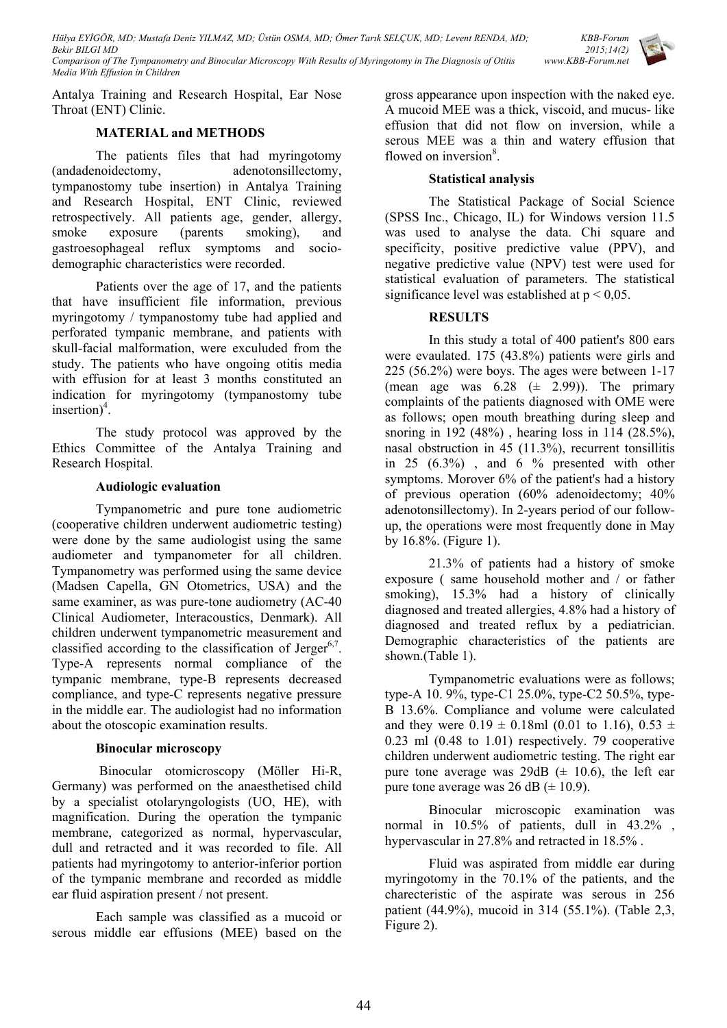*KBB-Forum 2015;14(2) www.KBB-Forum.net*

Antalya Training and Research Hospital, Ear Nose Throat (ENT) Clinic.

# **MATERIAL and METHODS**

The patients files that had myringotomy (andadenoidectomy, adenotonsillectomy, tympanostomy tube insertion) in Antalya Training and Research Hospital, ENT Clinic, reviewed retrospectively. All patients age, gender, allergy, smoke exposure (parents smoking), and gastroesophageal reflux symptoms and sociodemographic characteristics were recorded.

Patients over the age of 17, and the patients that have insufficient file information, previous myringotomy / tympanostomy tube had applied and perforated tympanic membrane, and patients with skull-facial malformation, were exculuded from the study. The patients who have ongoing otitis media with effusion for at least 3 months constituted an indication for myringotomy (tympanostomy tube insertion $)^4$ .

The study protocol was approved by the Ethics Committee of the Antalya Training and Research Hospital.

### **Audiologic evaluation**

Tympanometric and pure tone audiometric (cooperative children underwent audiometric testing) were done by the same audiologist using the same audiometer and tympanometer for all children. Tympanometry was performed using the same device (Madsen Capella, GN Otometrics, USA) and the same examiner, as was pure-tone audiometry (AC-40 Clinical Audiometer, Interacoustics, Denmark). All children underwent tympanometric measurement and classified according to the classification of Jerger<sup>6,7</sup>. Type-A represents normal compliance of the tympanic membrane, type-B represents decreased compliance, and type-C represents negative pressure in the middle ear. The audiologist had no information about the otoscopic examination results.

### **Binocular microscopy**

 Binocular otomicroscopy (Möller Hi-R, Germany) was performed on the anaesthetised child by a specialist otolaryngologists (UO, HE), with magnification. During the operation the tympanic membrane, categorized as normal, hypervascular, dull and retracted and it was recorded to file. All patients had myringotomy to anterior-inferior portion of the tympanic membrane and recorded as middle ear fluid aspiration present / not present.

Each sample was classified as a mucoid or serous middle ear effusions (MEE) based on the gross appearance upon inspection with the naked eye. A mucoid MEE was a thick, viscoid, and mucus- like effusion that did not flow on inversion, while a serous MEE was a thin and watery effusion that flowed on inversion<sup>8</sup>.

## **Statistical analysis**

The Statistical Package of Social Science (SPSS Inc., Chicago, IL) for Windows version 11.5 was used to analyse the data. Chi square and specificity, positive predictive value (PPV), and negative predictive value (NPV) test were used for statistical evaluation of parameters. The statistical significance level was established at  $p < 0.05$ .

# **RESULTS**

In this study a total of 400 patient's 800 ears were evaulated. 175 (43.8%) patients were girls and 225 (56.2%) were boys. The ages were between 1-17 (mean age was  $6.28 \left( \pm 2.99 \right)$ ). The primary complaints of the patients diagnosed with OME were as follows; open mouth breathing during sleep and snoring in 192 (48%) , hearing loss in 114 (28.5%), nasal obstruction in 45 (11.3%), recurrent tonsillitis in  $25$   $(6.3\%)$ , and  $6\%$  presented with other symptoms. Morover 6% of the patient's had a history of previous operation (60% adenoidectomy; 40% adenotonsillectomy). In 2-years period of our followup, the operations were most frequently done in May by 16.8%. (Figure 1).

21.3% of patients had a history of smoke exposure ( same household mother and / or father smoking), 15.3% had a history of clinically diagnosed and treated allergies, 4.8% had a history of diagnosed and treated reflux by a pediatrician. Demographic characteristics of the patients are shown.(Table 1).

Tympanometric evaluations were as follows; type-A 10. 9%, type-C1 25.0%, type-C2 50.5%, type-B 13.6%. Compliance and volume were calculated and they were  $0.19 \pm 0.18$ ml (0.01 to 1.16),  $0.53 \pm 1.16$ 0.23 ml (0.48 to 1.01) respectively. 79 cooperative children underwent audiometric testing. The right ear pure tone average was 29dB  $(\pm 10.6)$ , the left ear pure tone average was 26 dB  $(\pm 10.9)$ .

Binocular microscopic examination was normal in 10.5% of patients, dull in 43.2% , hypervascular in 27.8% and retracted in 18.5% .

Fluid was aspirated from middle ear during myringotomy in the 70.1% of the patients, and the charecteristic of the aspirate was serous in 256 patient (44.9%), mucoid in 314 (55.1%). (Table 2,3, Figure 2).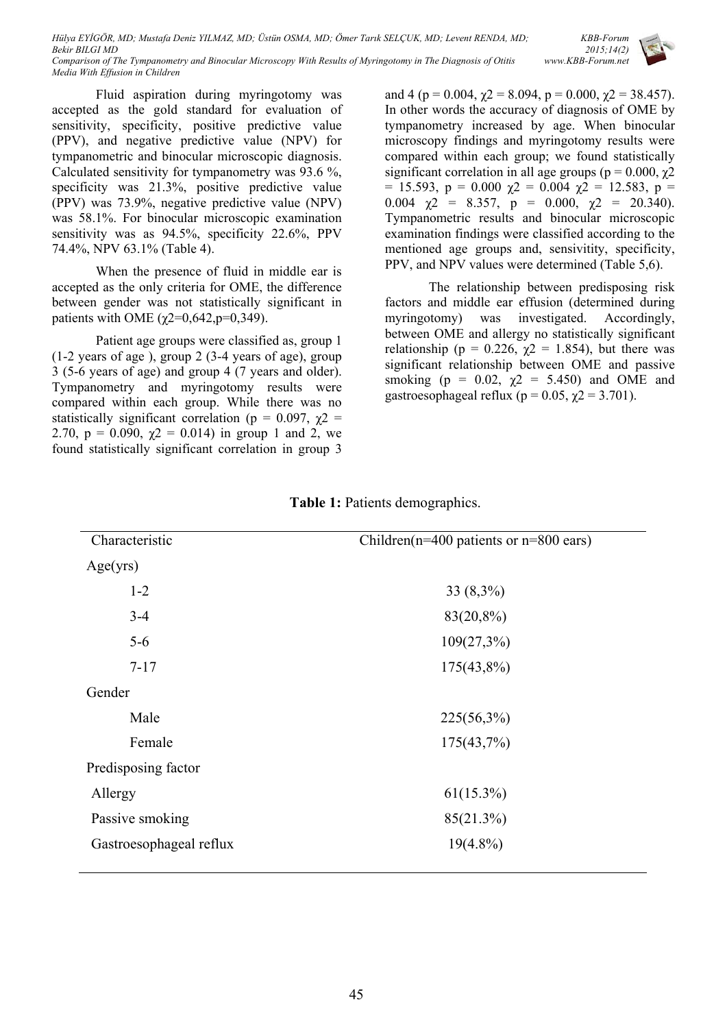*KBB-Forum 2015;14(2) www.KBB-Forum.net*

Fluid aspiration during myringotomy was accepted as the gold standard for evaluation of sensitivity, specificity, positive predictive value (PPV), and negative predictive value (NPV) for tympanometric and binocular microscopic diagnosis. Calculated sensitivity for tympanometry was 93.6 %, specificity was 21.3%, positive predictive value (PPV) was 73.9%, negative predictive value (NPV) was 58.1%. For binocular microscopic examination sensitivity was as 94.5%, specificity 22.6%, PPV 74.4%, NPV 63.1% (Table 4).

*Media With Effusion in Children* 

When the presence of fluid in middle ear is accepted as the only criteria for OME, the difference between gender was not statistically significant in patients with OME ( $\gamma$ 2=0,642,p=0,349).

Patient age groups were classified as, group 1 (1-2 years of age ), group 2 (3-4 years of age), group 3 (5-6 years of age) and group 4 (7 years and older). Tympanometry and myringotomy results were compared within each group. While there was no statistically significant correlation ( $p = 0.097$ ,  $\chi$ 2 = 2.70,  $p = 0.090$ ,  $\chi$ 2 = 0.014) in group 1 and 2, we found statistically significant correlation in group 3

and 4 (p = 0.004,  $\chi$ 2 = 8.094, p = 0.000,  $\chi$ 2 = 38.457). In other words the accuracy of diagnosis of OME by tympanometry increased by age. When binocular microscopy findings and myringotomy results were compared within each group; we found statistically significant correlation in all age groups ( $p = 0.000$ ,  $\chi$ 2  $= 15.593$ ,  $p = 0.000 \t{y2} = 0.004 \t{y2} = 12.583$ ,  $p =$ 0.004  $\chi$ 2 = 8.357, p = 0.000,  $\chi$ 2 = 20.340). Tympanometric results and binocular microscopic examination findings were classified according to the mentioned age groups and, sensivitity, specificity, PPV, and NPV values were determined (Table 5,6).

The relationship between predisposing risk factors and middle ear effusion (determined during myringotomy) was investigated. Accordingly, between OME and allergy no statistically significant relationship ( $p = 0.226$ ,  $\chi$ 2 = 1.854), but there was significant relationship between OME and passive smoking ( $p = 0.02$ ,  $\chi^2 = 5.450$ ) and OME and gastroesophageal reflux ( $p = 0.05$ ,  $\chi$ 2 = 3.701).

| Characteristic          | Children( $n=400$ patients or $n=800$ ears) |  |  |
|-------------------------|---------------------------------------------|--|--|
| Age(yrs)                |                                             |  |  |
| $1 - 2$                 | $33(8,3\%)$                                 |  |  |
| $3 - 4$                 | 83(20,8%)                                   |  |  |
| $5-6$                   | $109(27,3\%)$                               |  |  |
| $7 - 17$                | $175(43,8\%)$                               |  |  |
| Gender                  |                                             |  |  |
| Male                    | $225(56,3\%)$                               |  |  |
| Female                  | $175(43,7\%)$                               |  |  |
| Predisposing factor     |                                             |  |  |
| Allergy                 | $61(15.3\%)$                                |  |  |
| Passive smoking         | 85(21.3%)                                   |  |  |
| Gastroesophageal reflux | $19(4.8\%)$                                 |  |  |
|                         |                                             |  |  |

**Table 1:** Patients demographics.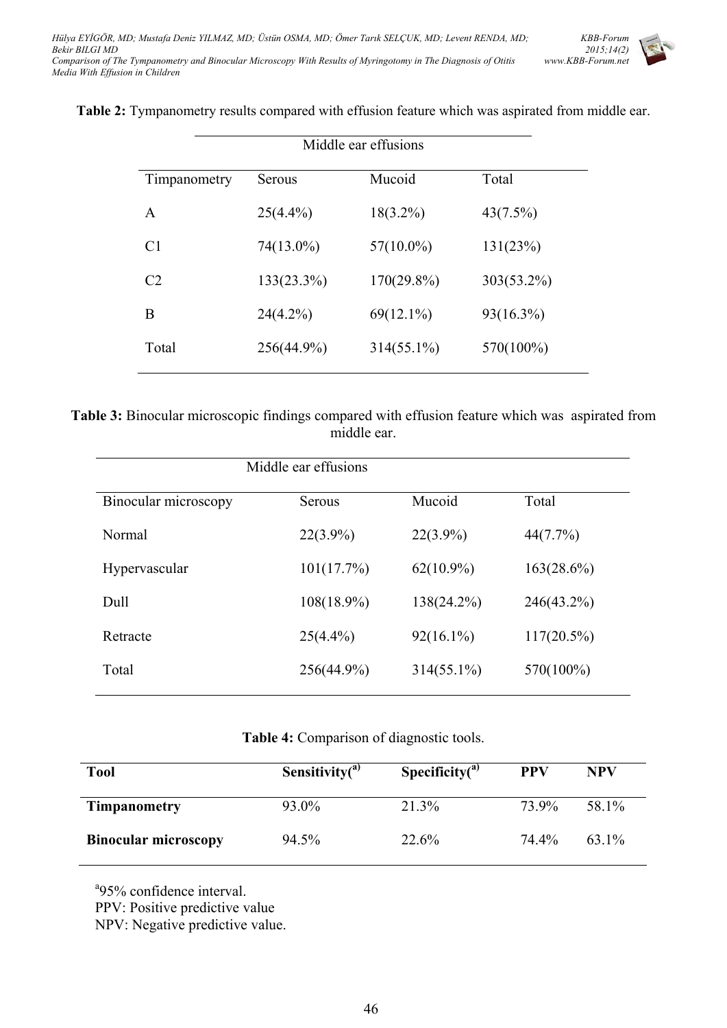

**Table 2:** Tympanometry results compared with effusion feature which was aspirated from middle ear.

| Middle ear effusions |               |               |              |  |
|----------------------|---------------|---------------|--------------|--|
| Timpanometry         | Serous        | Mucoid        | Total        |  |
| A                    | $25(4.4\%)$   | $18(3.2\%)$   | 43(7.5%)     |  |
| C <sub>1</sub>       | 74(13.0%)     | $57(10.0\%)$  | 131(23%)     |  |
| C <sub>2</sub>       | $133(23.3\%)$ | $170(29.8\%)$ | 303(53.2%)   |  |
| Β                    | $24(4.2\%)$   | $69(12.1\%)$  | $93(16.3\%)$ |  |
| Total                | 256(44.9%)    | $314(55.1\%)$ | 570(100%)    |  |

**Table 3:** Binocular microscopic findings compared with effusion feature which was aspirated from middle ear.

| Binocular microscopy | Serous        | Mucoid        | Total         |
|----------------------|---------------|---------------|---------------|
| Normal               | $22(3.9\%)$   | $22(3.9\%)$   | 44(7.7%)      |
| Hypervascular        | 101(17.7%)    | $62(10.9\%)$  | $163(28.6\%)$ |
| Dull                 | 108(18.9%)    | 138(24.2%)    | $246(43.2\%)$ |
| Retracte             | $25(4.4\%)$   | $92(16.1\%)$  | $117(20.5\%)$ |
| Total                | $256(44.9\%)$ | $314(55.1\%)$ | 570(100%)     |
|                      |               |               |               |

### **Table 4:** Comparison of diagnostic tools.

| <b>Tool</b>                 | Sensitivity $(3)$ | Specificity $(3)$ | <b>PPV</b> | NPV   |
|-----------------------------|-------------------|-------------------|------------|-------|
| <b>Timpanometry</b>         | 93.0%             | 21.3%             | 73.9%      | 58.1% |
| <b>Binocular microscopy</b> | 94.5%             | 22.6%             | 74.4%      | 63.1% |

<sup>a</sup>95% confidence interval.

PPV: Positive predictive value

NPV: Negative predictive value.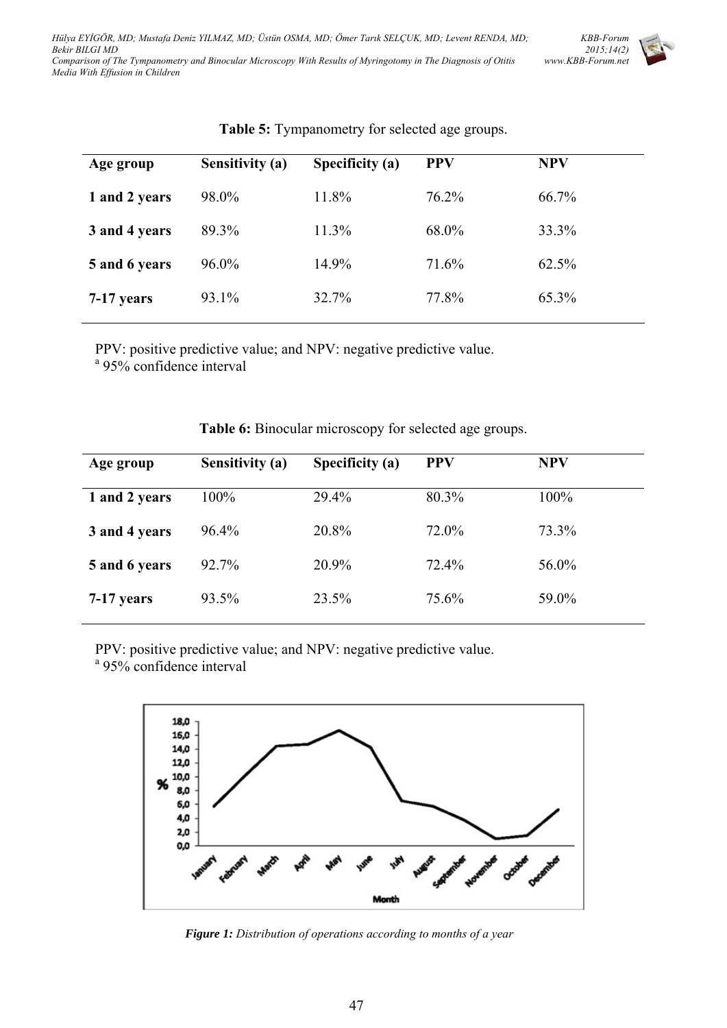

| Age group     | <b>Sensitivity (a)</b> | Specificity (a) | <b>PPV</b> | <b>NPV</b> |
|---------------|------------------------|-----------------|------------|------------|
| 1 and 2 years | 98.0%                  | 11.8%           | $76.2\%$   | 66.7%      |
| 3 and 4 years | 89.3%                  | 11.3%           | 68.0%      | 33.3%      |
| 5 and 6 years | $96.0\%$               | 14.9%           | 71.6%      | 62.5%      |
| 7-17 years    | 93.1%                  | 32.7%           | 77.8%      | 65.3%      |

# **Table 5:** Tympanometry for selected age groups.

PPV: positive predictive value; and NPV: negative predictive value.

<sup>a</sup> 95% confidence interval

| <b>Sensitivity (a)</b> | Specificity (a) | <b>PPV</b> | <b>NPV</b> |
|------------------------|-----------------|------------|------------|
| $100\%$                | 29.4%           | 80.3%      | 100%       |
| 96.4%                  | 20.8%           | 72.0%      | 73.3%      |
| 92.7%                  | 20.9%           | 72.4%      | 56.0%      |
| 93.5%                  | 23.5%           | 75.6%      | 59.0%      |
|                        |                 |            |            |

**Table 6:** Binocular microscopy for selected age groups.

PPV: positive predictive value; and NPV: negative predictive value.

<sup>a</sup> 95% confidence interval



*Figure 1: Distribution of operations according to months of a year*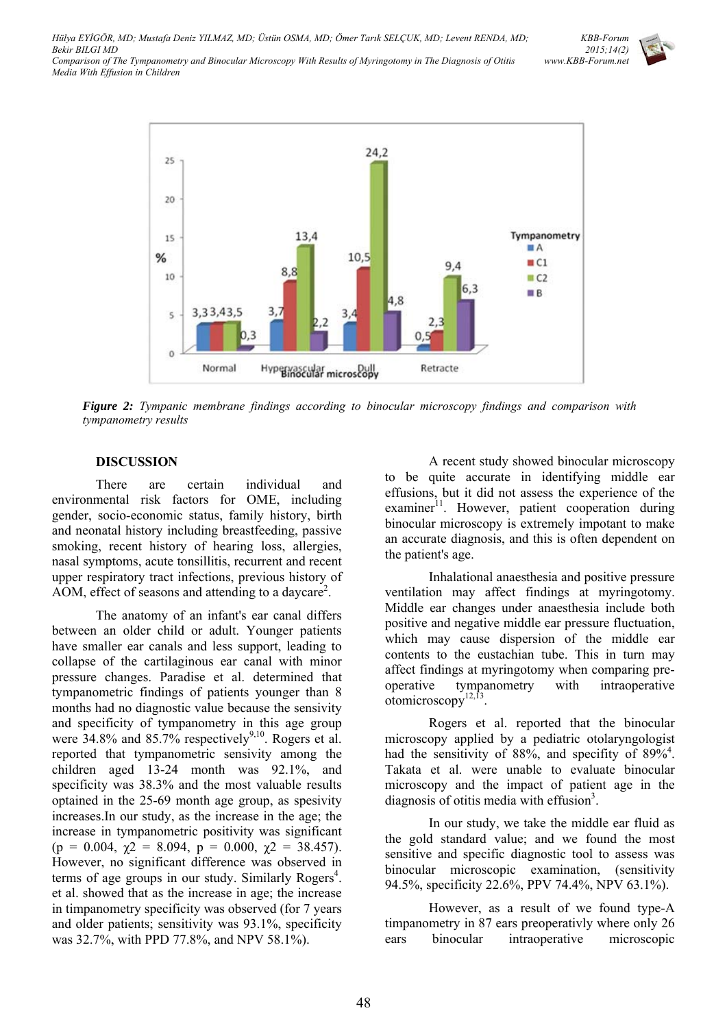

*Figure 2: Tympanic membrane findings according to binocular microscopy findings and comparison with tympanometry results* 

#### **DISCUSSION**

There are certain individual and environmental risk factors for OME, including gender, socio-economic status, family history, birth and neonatal history including breastfeeding, passive smoking, recent history of hearing loss, allergies, nasal symptoms, acute tonsillitis, recurrent and recent upper respiratory tract infections, previous history of AOM, effect of seasons and attending to a daycare<sup>2</sup>.

The anatomy of an infant's ear canal differs between an older child or adult. Younger patients have smaller ear canals and less support, leading to collapse of the cartilaginous ear canal with minor pressure changes. Paradise et al. determined that tympanometric findings of patients younger than 8 months had no diagnostic value because the sensivity and specificity of tympanometry in this age group were  $34.8\%$  and  $85.7\%$  respectively<sup>9,10</sup>. Rogers et al. reported that tympanometric sensivity among the children aged 13-24 month was 92.1%, and specificity was 38.3% and the most valuable results optained in the 25-69 month age group, as spesivity increases.In our study, as the increase in the age; the increase in tympanometric positivity was significant (p = 0.004,  $\chi$ 2 = 8.094, p = 0.000,  $\chi$ 2 = 38.457). However, no significant difference was observed in terms of age groups in our study. Similarly Rogers<sup>4</sup>. et al. showed that as the increase in age; the increase in timpanometry specificity was observed (for 7 years and older patients; sensitivity was 93.1%, specificity was 32.7%, with PPD 77.8%, and NPV 58.1%).

A recent study showed binocular microscopy to be quite accurate in identifying middle ear effusions, but it did not assess the experience of the examiner<sup>11</sup>. However, patient cooperation during binocular microscopy is extremely impotant to make an accurate diagnosis, and this is often dependent on the patient's age.

Inhalational anaesthesia and positive pressure ventilation may affect findings at myringotomy. Middle ear changes under anaesthesia include both positive and negative middle ear pressure fluctuation, which may cause dispersion of the middle ear contents to the eustachian tube. This in turn may affect findings at myringotomy when comparing preoperative tympanometry with intraoperative otomicroscopy $^{12,\overline{13}}$ .

Rogers et al. reported that the binocular microscopy applied by a pediatric otolaryngologist had the sensitivity of 88%, and specifity of 89%<sup>4</sup>. Takata et al. were unable to evaluate binocular microscopy and the impact of patient age in the diagnosis of otitis media with effusion $3$ .

In our study, we take the middle ear fluid as the gold standard value; and we found the most sensitive and specific diagnostic tool to assess was binocular microscopic examination, (sensitivity 94.5%, specificity 22.6%, PPV 74.4%, NPV 63.1%).

However, as a result of we found type-A timpanometry in 87 ears preoperativly where only 26 ears binocular intraoperative microscopic